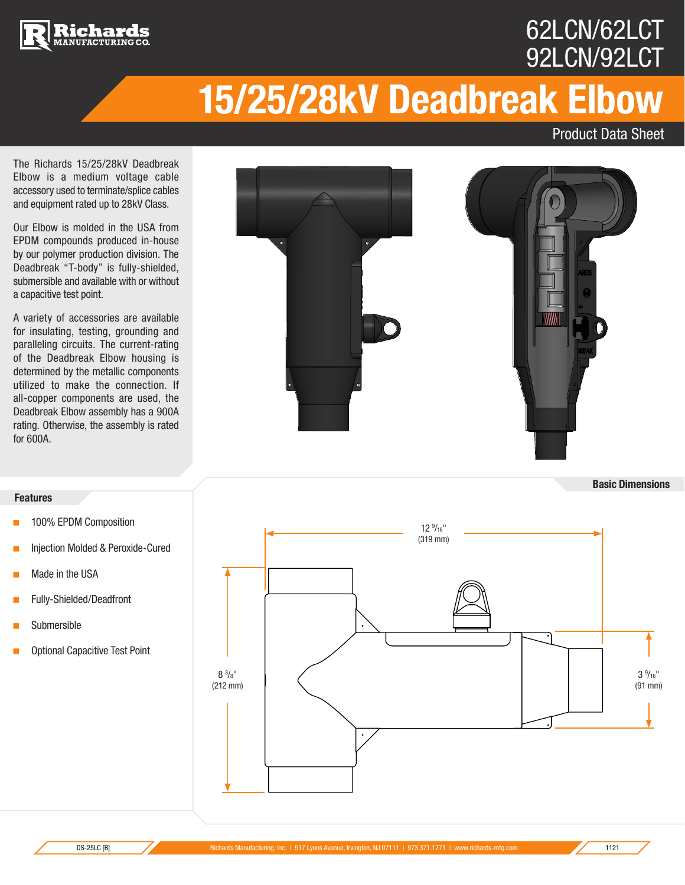

### 62LCN/62LCT 92LCN/92LCT

## **15/25/28kV Deadbreak Elbow**

Product Data Sheet

The Richards 15/25/28kV Deadbreak Elbow is a medium voltage cable accessory used to terminate/splice cables and equipment rated up to 28kV Class.

Our Elbow is molded in the USA from EPDM compounds produced in-house by our polymer production division. The Deadbreak "T-body" is fully-shielded, submersible and available with or without a capacitive test point.

A variety of accessories are available for insulating, testing, grounding and paralleling circuits. The current-rating of the Deadbreak Elbow housing is determined by the metallic components utilized to make the connection. If all-copper components are used, the Deadbreak Elbow assembly has a 900A rating. Otherwise, the assembly is rated for 600A.



**Basic Dimensions**

#### **Features**

- < 100% EPDM Composition
- < Injection Molded & Peroxide-Cured
- **Made in the USA**
- **Fully-Shielded/Deadfront**
- **Submersible**
- < Optional Capacitive Test Point

 $\sim$  3<sup>9</sup>  $3\frac{9}{16}$ " (91 mm) 12 9 /16" (319 mm)  $8\frac{3}{8}$ " (212 mm)  $O^{2/8}$  and  $O^{2/8}$  and  $O^{2/10}$  and  $O^{2/10}$  and  $O^{2/10}$  and  $O^{2/10}$  and  $O^{2/10}$  and  $O^{2/10}$  $O^{2/8}$  and  $O^{2/8}$  and  $O^{2/10}$  and  $O^{2/10}$  and  $O^{2/10}$  and  $O^{2/10}$  and  $O^{2/10}$  and  $O^{2/10}$